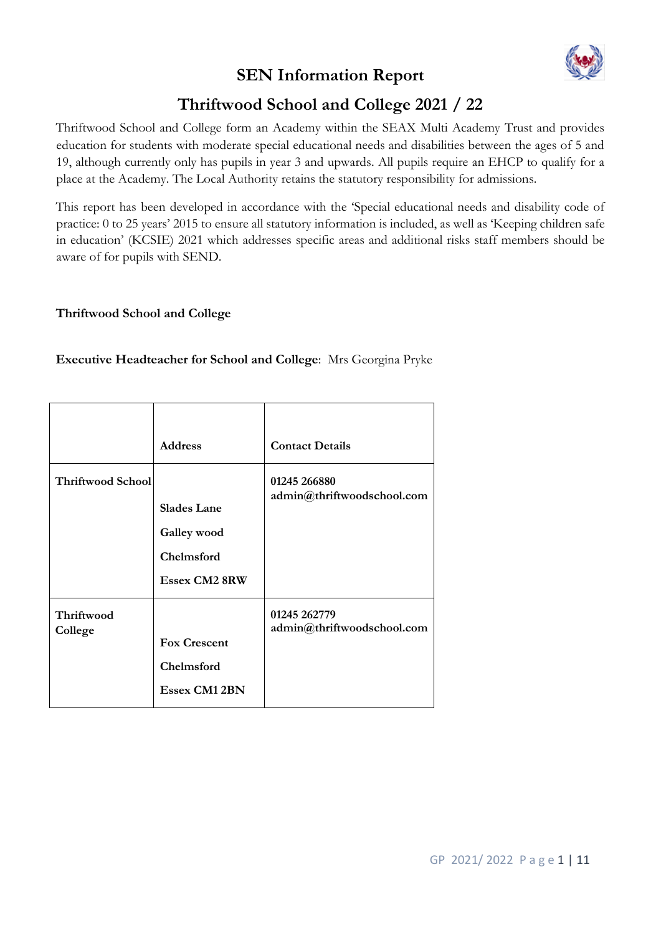# **SEN Information Report**



# **Thriftwood School and College 2021 / 22**

Thriftwood School and College form an Academy within the SEAX Multi Academy Trust and provides education for students with moderate special educational needs and disabilities between the ages of 5 and 19, although currently only has pupils in year 3 and upwards. All pupils require an EHCP to qualify for a place at the Academy. The Local Authority retains the statutory responsibility for admissions.

This report has been developed in accordance with the 'Special educational needs and disability code of practice: 0 to 25 years' 2015 to ensure all statutory information is included, as well as 'Keeping children safe in education' (KCSIE) 2021 which addresses specific areas and additional risks staff members should be aware of for pupils with SEND.

### **Thriftwood School and College**

### **Executive Headteacher for School and College**: Mrs Georgina Pryke

|                          | <b>Address</b>                                                          | <b>Contact Details</b>                     |
|--------------------------|-------------------------------------------------------------------------|--------------------------------------------|
| <b>Thriftwood School</b> | <b>Slades Lane</b><br>Galley wood<br>Chelmsford<br><b>Essex CM2 8RW</b> | 01245 266880<br>admin@thriftwoodschool.com |
| Thriftwood<br>College    | <b>Fox Crescent</b><br>Chelmsford<br><b>Essex CM1 2BN</b>               | 01245 262779<br>admin@thriftwoodschool.com |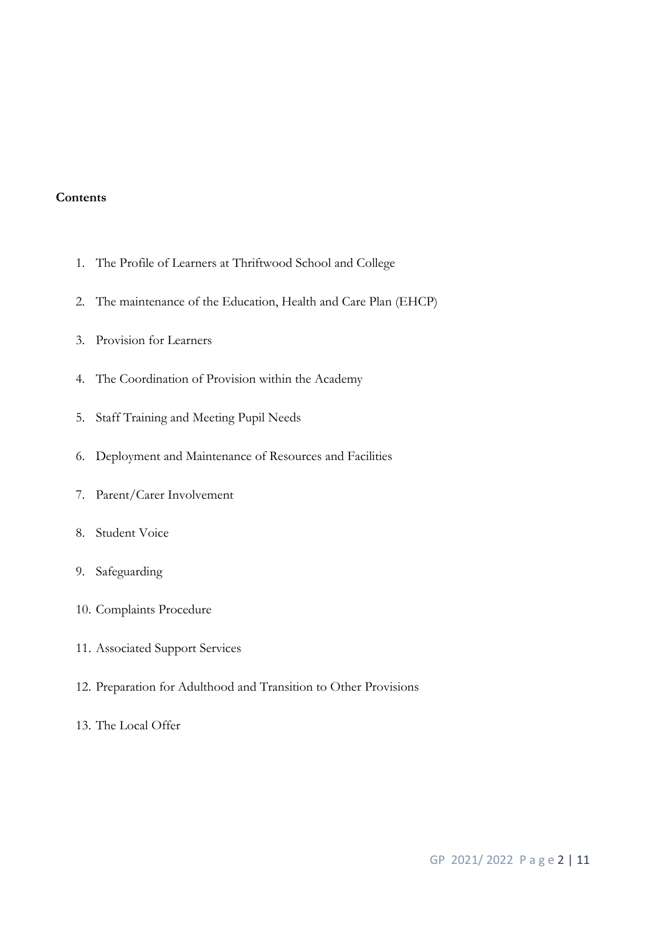#### **Contents**

- 1. The Profile of Learners at Thriftwood School and College
- 2. The maintenance of the Education, Health and Care Plan (EHCP)
- 3. Provision for Learners
- 4. The Coordination of Provision within the Academy
- 5. Staff Training and Meeting Pupil Needs
- 6. Deployment and Maintenance of Resources and Facilities
- 7. Parent/Carer Involvement
- 8. Student Voice
- 9. Safeguarding
- 10. Complaints Procedure
- 11. Associated Support Services
- 12. Preparation for Adulthood and Transition to Other Provisions
- 13. The Local Offer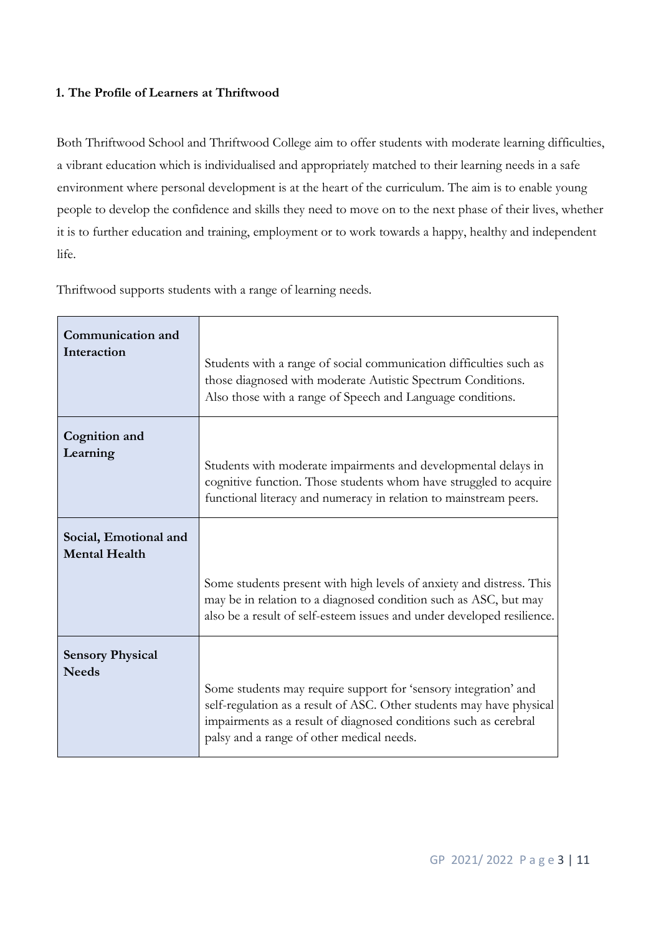### **1. The Profile of Learners at Thriftwood**

Both Thriftwood School and Thriftwood College aim to offer students with moderate learning difficulties, a vibrant education which is individualised and appropriately matched to their learning needs in a safe environment where personal development is at the heart of the curriculum. The aim is to enable young people to develop the confidence and skills they need to move on to the next phase of their lives, whether it is to further education and training, employment or to work towards a happy, healthy and independent life.

**Communication and Interaction**  Students with a range of social communication difficulties such as those diagnosed with moderate Autistic Spectrum Conditions. Also those with a range of Speech and Language conditions. **Cognition and Learning**  Students with moderate impairments and developmental delays in cognitive function. Those students whom have struggled to acquire functional literacy and numeracy in relation to mainstream peers. **Social, Emotional and Mental Health**  Some students present with high levels of anxiety and distress. This may be in relation to a diagnosed condition such as ASC, but may also be a result of self-esteem issues and under developed resilience. **Sensory Physical Needs**  Some students may require support for 'sensory integration' and self-regulation as a result of ASC. Other students may have physical impairments as a result of diagnosed conditions such as cerebral palsy and a range of other medical needs.

Thriftwood supports students with a range of learning needs.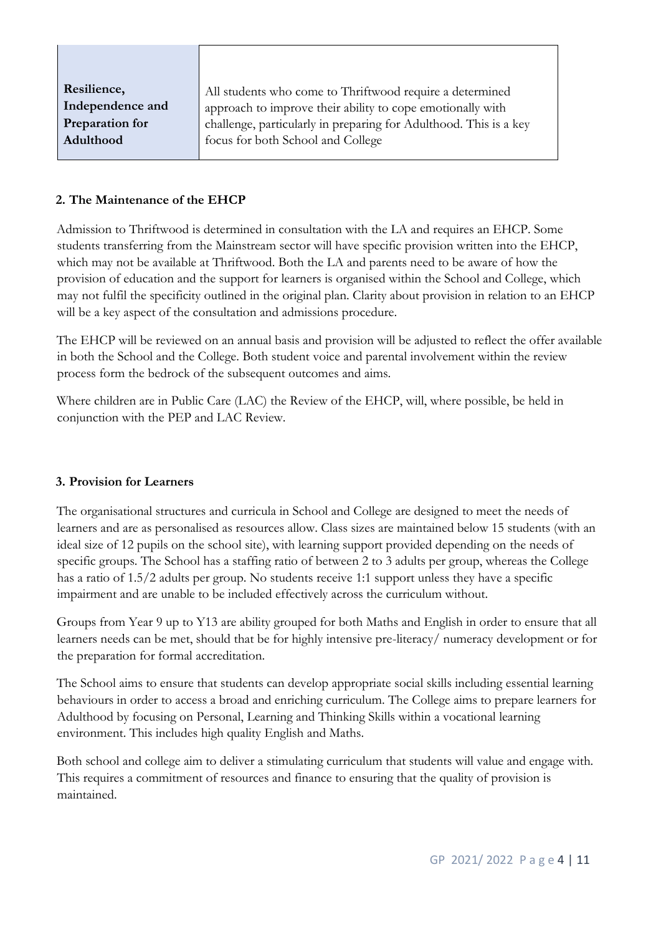| Resilience,      | All students who come to Thriftwood require a determined          |  |
|------------------|-------------------------------------------------------------------|--|
| Independence and | approach to improve their ability to cope emotionally with        |  |
| Preparation for  | challenge, particularly in preparing for Adulthood. This is a key |  |
| Adulthood        | focus for both School and College                                 |  |
|                  |                                                                   |  |

### **2. The Maintenance of the EHCP**

Admission to Thriftwood is determined in consultation with the LA and requires an EHCP. Some students transferring from the Mainstream sector will have specific provision written into the EHCP, which may not be available at Thriftwood. Both the LA and parents need to be aware of how the provision of education and the support for learners is organised within the School and College, which may not fulfil the specificity outlined in the original plan. Clarity about provision in relation to an EHCP will be a key aspect of the consultation and admissions procedure.

The EHCP will be reviewed on an annual basis and provision will be adjusted to reflect the offer available in both the School and the College. Both student voice and parental involvement within the review process form the bedrock of the subsequent outcomes and aims.

Where children are in Public Care (LAC) the Review of the EHCP, will, where possible, be held in conjunction with the PEP and LAC Review.

#### **3. Provision for Learners**

The organisational structures and curricula in School and College are designed to meet the needs of learners and are as personalised as resources allow. Class sizes are maintained below 15 students (with an ideal size of 12 pupils on the school site), with learning support provided depending on the needs of specific groups. The School has a staffing ratio of between 2 to 3 adults per group, whereas the College has a ratio of 1.5/2 adults per group. No students receive 1:1 support unless they have a specific impairment and are unable to be included effectively across the curriculum without.

Groups from Year 9 up to Y13 are ability grouped for both Maths and English in order to ensure that all learners needs can be met, should that be for highly intensive pre-literacy/ numeracy development or for the preparation for formal accreditation.

The School aims to ensure that students can develop appropriate social skills including essential learning behaviours in order to access a broad and enriching curriculum. The College aims to prepare learners for Adulthood by focusing on Personal, Learning and Thinking Skills within a vocational learning environment. This includes high quality English and Maths.

Both school and college aim to deliver a stimulating curriculum that students will value and engage with. This requires a commitment of resources and finance to ensuring that the quality of provision is maintained.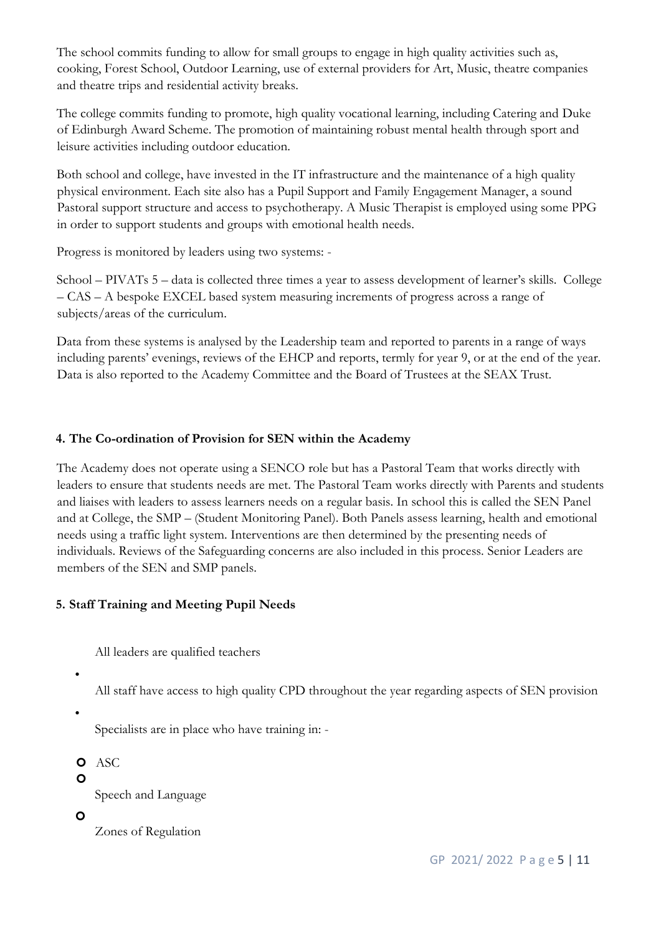The school commits funding to allow for small groups to engage in high quality activities such as, cooking, Forest School, Outdoor Learning, use of external providers for Art, Music, theatre companies and theatre trips and residential activity breaks.

The college commits funding to promote, high quality vocational learning, including Catering and Duke of Edinburgh Award Scheme. The promotion of maintaining robust mental health through sport and leisure activities including outdoor education.

Both school and college, have invested in the IT infrastructure and the maintenance of a high quality physical environment. Each site also has a Pupil Support and Family Engagement Manager, a sound Pastoral support structure and access to psychotherapy. A Music Therapist is employed using some PPG in order to support students and groups with emotional health needs.

Progress is monitored by leaders using two systems: -

School – PIVATs 5 – data is collected three times a year to assess development of learner's skills. College – CAS – A bespoke EXCEL based system measuring increments of progress across a range of subjects/areas of the curriculum.

Data from these systems is analysed by the Leadership team and reported to parents in a range of ways including parents' evenings, reviews of the EHCP and reports, termly for year 9, or at the end of the year. Data is also reported to the Academy Committee and the Board of Trustees at the SEAX Trust.

### **4. The Co-ordination of Provision for SEN within the Academy**

The Academy does not operate using a SENCO role but has a Pastoral Team that works directly with leaders to ensure that students needs are met. The Pastoral Team works directly with Parents and students and liaises with leaders to assess learners needs on a regular basis. In school this is called the SEN Panel and at College, the SMP – (Student Monitoring Panel). Both Panels assess learning, health and emotional needs using a traffic light system. Interventions are then determined by the presenting needs of individuals. Reviews of the Safeguarding concerns are also included in this process. Senior Leaders are members of the SEN and SMP panels.

## **5. Staff Training and Meeting Pupil Needs**

All leaders are qualified teachers

•

All staff have access to high quality CPD throughout the year regarding aspects of SEN provision

•

Specialists are in place who have training in: -

**O** ASC

 $\mathbf{o}$ 

Speech and Language

 $\mathbf{o}$ 

Zones of Regulation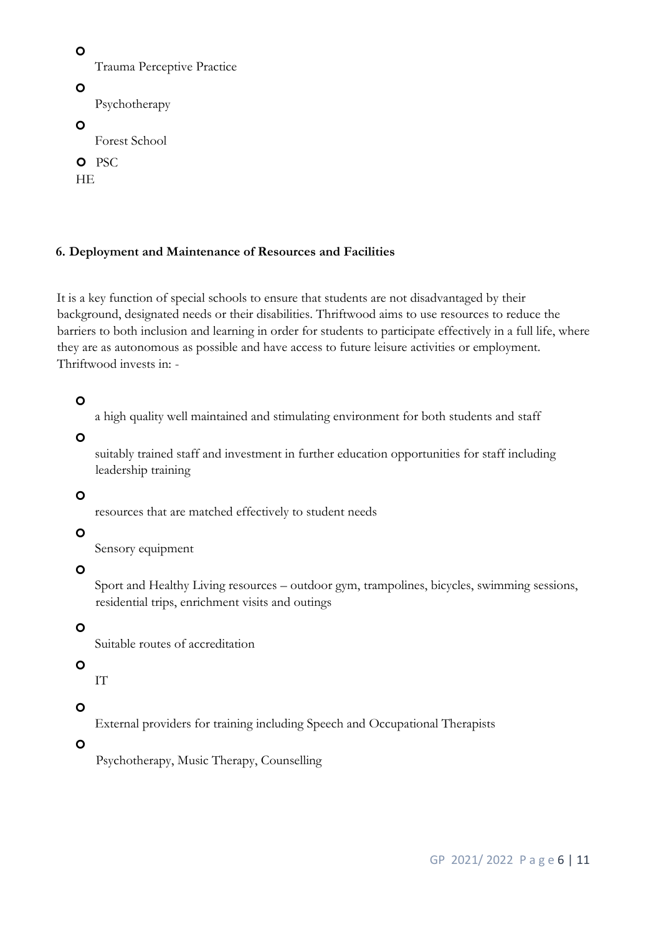```
\mathbf{o}Trauma Perceptive Practice
\mathbf{o}Psychotherapy 
\circForest School 
O PSC
HE
```
### **6. Deployment and Maintenance of Resources and Facilities**

It is a key function of special schools to ensure that students are not disadvantaged by their background, designated needs or their disabilities. Thriftwood aims to use resources to reduce the barriers to both inclusion and learning in order for students to participate effectively in a full life, where they are as autonomous as possible and have access to future leisure activities or employment. Thriftwood invests in: -

## $\mathbf{o}$

a high quality well maintained and stimulating environment for both students and staff

 $\mathbf{o}$ 

suitably trained staff and investment in further education opportunities for staff including leadership training

## $\mathbf{o}$

resources that are matched effectively to student needs

## $\Omega$

Sensory equipment

 $\mathbf{o}$ 

Sport and Healthy Living resources – outdoor gym, trampolines, bicycles, swimming sessions, residential trips, enrichment visits and outings

 $\mathbf{o}$ 

Suitable routes of accreditation

# $\mathbf{o}$

IT

## $\mathbf{o}$

External providers for training including Speech and Occupational Therapists

 $\mathbf{o}$ 

Psychotherapy, Music Therapy, Counselling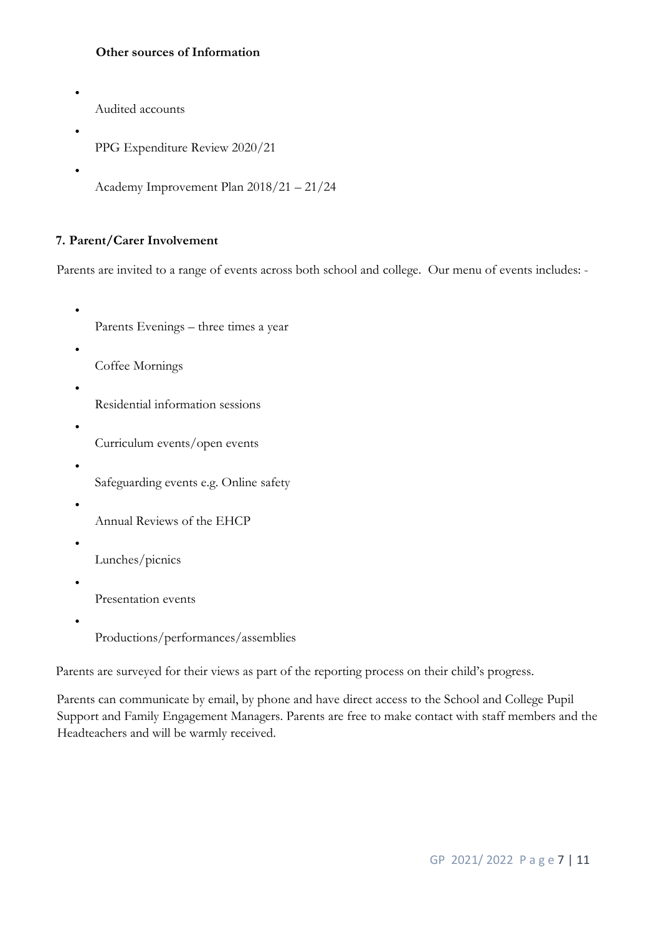### **Other sources of Information**

• Audited accounts

•

•

•

- PPG Expenditure Review 2020/21
- Academy Improvement Plan 2018/21 21/24

### **7. Parent/Carer Involvement**

Parents are invited to a range of events across both school and college. Our menu of events includes: -

- Parents Evenings three times a year
- Coffee Mornings
- Residential information sessions
- - Curriculum events/open events
	- Safeguarding events e.g. Online safety
- •

•

- Annual Reviews of the EHCP
- •
- Lunches/picnics
- •
- Presentation events
- •
- Productions/performances/assemblies

Parents are surveyed for their views as part of the reporting process on their child's progress.

Parents can communicate by email, by phone and have direct access to the School and College Pupil Support and Family Engagement Managers. Parents are free to make contact with staff members and the Headteachers and will be warmly received.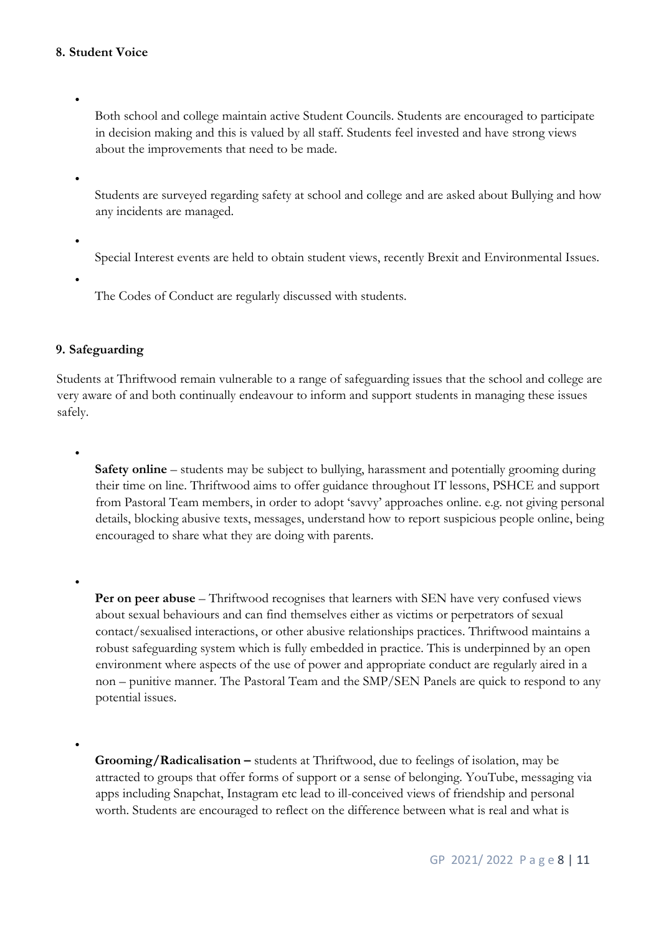### **8. Student Voice**

Both school and college maintain active Student Councils. Students are encouraged to participate in decision making and this is valued by all staff. Students feel invested and have strong views about the improvements that need to be made.

•

•

Students are surveyed regarding safety at school and college and are asked about Bullying and how any incidents are managed.

Special Interest events are held to obtain student views, recently Brexit and Environmental Issues.

•

•

•

•

•

The Codes of Conduct are regularly discussed with students.

### **9. Safeguarding**

Students at Thriftwood remain vulnerable to a range of safeguarding issues that the school and college are very aware of and both continually endeavour to inform and support students in managing these issues safely.

**Safety online** – students may be subject to bullying, harassment and potentially grooming during their time on line. Thriftwood aims to offer guidance throughout IT lessons, PSHCE and support from Pastoral Team members, in order to adopt 'savvy' approaches online. e.g. not giving personal details, blocking abusive texts, messages, understand how to report suspicious people online, being encouraged to share what they are doing with parents.

**Per on peer abuse** – Thriftwood recognises that learners with SEN have very confused views about sexual behaviours and can find themselves either as victims or perpetrators of sexual contact/sexualised interactions, or other abusive relationships practices. Thriftwood maintains a robust safeguarding system which is fully embedded in practice. This is underpinned by an open environment where aspects of the use of power and appropriate conduct are regularly aired in a non – punitive manner. The Pastoral Team and the SMP/SEN Panels are quick to respond to any potential issues.

**Grooming/Radicalisation –** students at Thriftwood, due to feelings of isolation, may be attracted to groups that offer forms of support or a sense of belonging. YouTube, messaging via apps including Snapchat, Instagram etc lead to ill-conceived views of friendship and personal worth. Students are encouraged to reflect on the difference between what is real and what is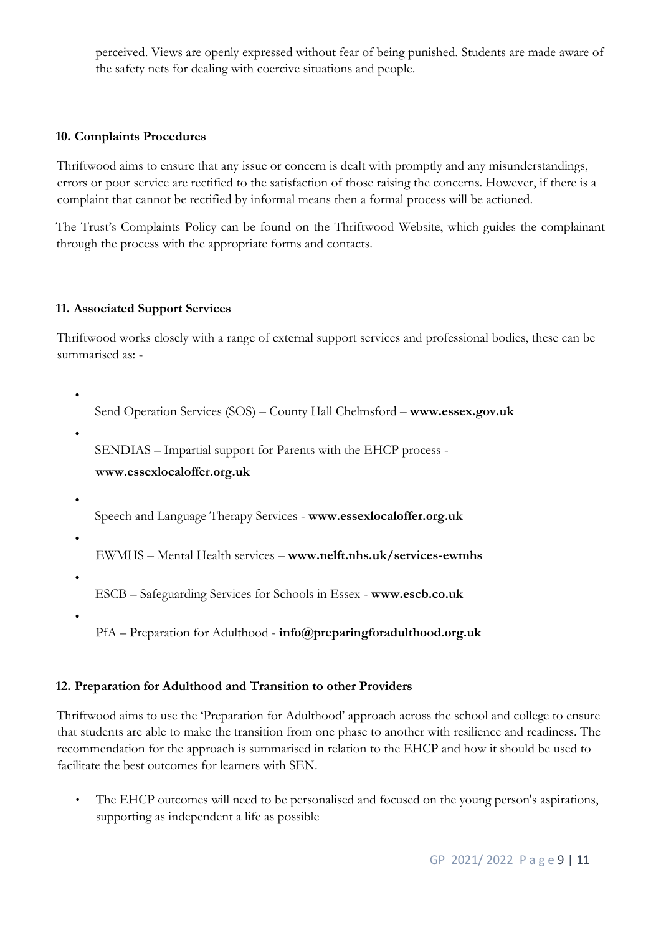perceived. Views are openly expressed without fear of being punished. Students are made aware of the safety nets for dealing with coercive situations and people.

### **10. Complaints Procedures**

Thriftwood aims to ensure that any issue or concern is dealt with promptly and any misunderstandings, errors or poor service are rectified to the satisfaction of those raising the concerns. However, if there is a complaint that cannot be rectified by informal means then a formal process will be actioned.

The Trust's Complaints Policy can be found on the Thriftwood Website, which guides the complainant through the process with the appropriate forms and contacts.

#### **11. Associated Support Services**

Thriftwood works closely with a range of external support services and professional bodies, these can be summarised as: -

```
Send Operation Services (SOS) – County Hall Chelmsford – www.essex.gov.uk
```
•

•

•

•

•

SENDIAS – Impartial support for Parents with the EHCP process -

**www.essexlocaloffer.org.uk** 

Speech and Language Therapy Services - **www.essexlocaloffer.org.uk**

EWMHS – Mental Health services – **www.nelft.nhs.uk/services-ewmhs**

ESCB – Safeguarding Services for Schools in Essex - **www.escb.co.uk** 

•

PfA – Preparation for Adulthood - **info@preparingforadulthood.org.uk** 

### **12. Preparation for Adulthood and Transition to other Providers**

Thriftwood aims to use the 'Preparation for Adulthood' approach across the school and college to ensure that students are able to make the transition from one phase to another with resilience and readiness. The recommendation for the approach is summarised in relation to the EHCP and how it should be used to facilitate the best outcomes for learners with SEN.

• The EHCP outcomes will need to be personalised and focused on the young person's aspirations, supporting as independent a life as possible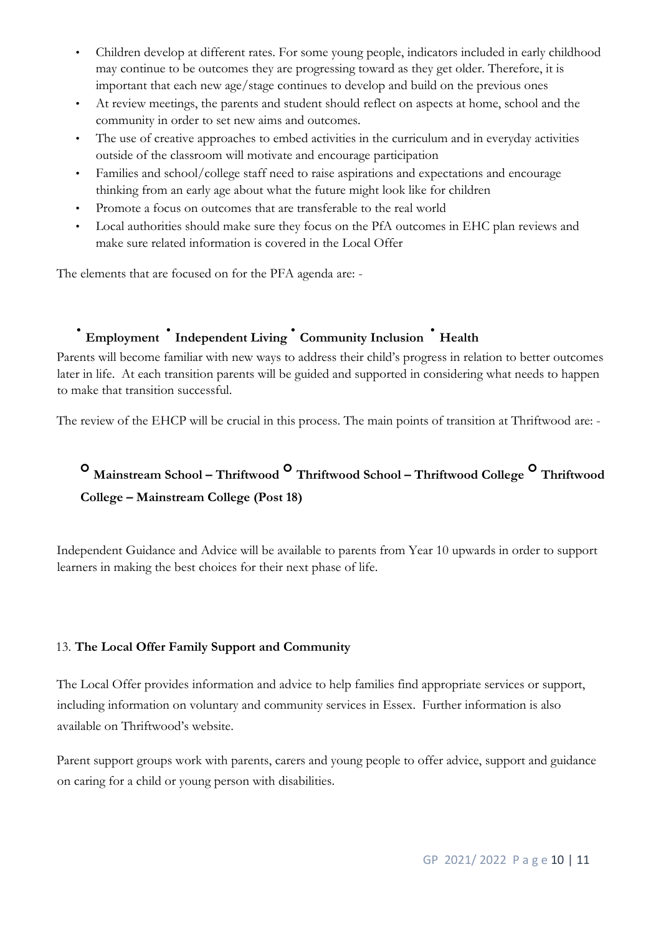- Children develop at different rates. For some young people, indicators included in early childhood may continue to be outcomes they are progressing toward as they get older. Therefore, it is important that each new age/stage continues to develop and build on the previous ones
- At review meetings, the parents and student should reflect on aspects at home, school and the community in order to set new aims and outcomes.
- The use of creative approaches to embed activities in the curriculum and in everyday activities outside of the classroom will motivate and encourage participation
- Families and school/college staff need to raise aspirations and expectations and encourage thinking from an early age about what the future might look like for children
- Promote a focus on outcomes that are transferable to the real world
- Local authorities should make sure they focus on the PfA outcomes in EHC plan reviews and make sure related information is covered in the Local Offer

The elements that are focused on for the PFA agenda are: -

# • **Employment** • **Independent Living** • **Community Inclusion** • **Health**

Parents will become familiar with new ways to address their child's progress in relation to better outcomes later in life. At each transition parents will be guided and supported in considering what needs to happen to make that transition successful.

The review of the EHCP will be crucial in this process. The main points of transition at Thriftwood are: -

# **Mainstream School – Thriftwood Thriftwood School – Thriftwood College Thriftwood College – Mainstream College (Post 18)**

Independent Guidance and Advice will be available to parents from Year 10 upwards in order to support learners in making the best choices for their next phase of life.

### 13. **The Local Offer Family Support and Community**

The Local Offer provides information and advice to help families find appropriate services or support, including information on voluntary and community services in Essex. Further information is also available on Thriftwood's website.

Parent support groups work with parents, carers and young people to offer advice, support and guidance on caring for a child or young person with disabilities.